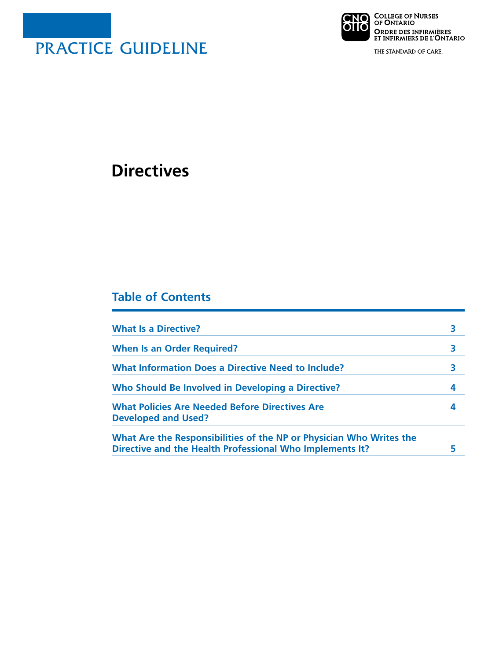

**CNO** COLLEGE OF NURSES<br>OIIO OF ONTARIO ORDRE DES INFIRMIÈRES<br>ET INFIRMIERS DE L'ONTARIO

THE STANDARD OF CARE.

# **Directives**

# **Table of Contents**

| <b>What Is a Directive?</b>                                                                                                     |   |
|---------------------------------------------------------------------------------------------------------------------------------|---|
| <b>When Is an Order Required?</b>                                                                                               |   |
| <b>What Information Does a Directive Need to Include?</b>                                                                       | 3 |
| Who Should Be Involved in Developing a Directive?                                                                               | 4 |
| <b>What Policies Are Needed Before Directives Are</b><br><b>Developed and Used?</b>                                             | 4 |
| What Are the Responsibilities of the NP or Physician Who Writes the<br>Directive and the Health Professional Who Implements It? |   |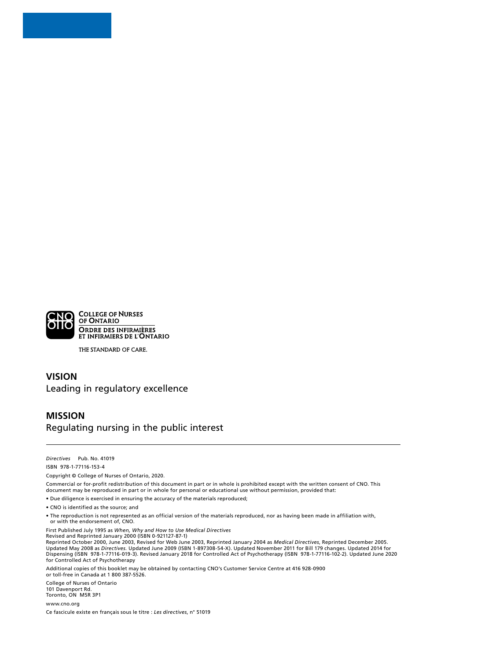

THE STANDARD OF CARE.

#### **VISION** Leading in regulatory excellence

#### **MISSION** Regulating nursing in the public interest

*Directives* Pub. No. 41019 ISBN 978-1-77116-153-4

Copyright © College of Nurses of Ontario, 2020.

Commercial or for-profit redistribution of this document in part or in whole is prohibited except with the written consent of CNO. This document may be reproduced in part or in whole for personal or educational use without permission, provided that:

• Due diligence is exercised in ensuring the accuracy of the materials reproduced;

- CNO is identified as the source; and
- The reproduction is not represented as an official version of the materials reproduced, nor as having been made in affiliation with, or with the endorsement of, CNO.

First Published July 1995 as *When, Why and How to Use Medical Directives*

Revised and Reprinted January 2000 (ISBN 0-921127-87-1) Reprinted October 2000, June 2003, Revised for Web June 2003, Reprinted January 2004 as *Medical Directives*, Reprinted December 2005.<br>Updated May 2008 as *Directives.* Updated June 2009 (ISBN 1-897308-54-X). Updated Novem Dispensing (ISBN 978-1-77116-019-3). Revised January 2018 for Controlled Act of Psychotherapy (ISBN 978-1-77116-102-2). Updated June 2020 for Controlled Act of Psychotherapy

Additional copies of this booklet may be obtained by contacting CNO's Customer Service Centre at 416 928-0900 or toll-free in Canada at 1 800 387-5526.

College of Nurses of Ontario 101 Davenport Rd. Toronto, ON M5R 3P1

[www.cno.org](http://www.cno.org)

Ce fascicule existe en français sous le titre : *Les directives*, n° 51019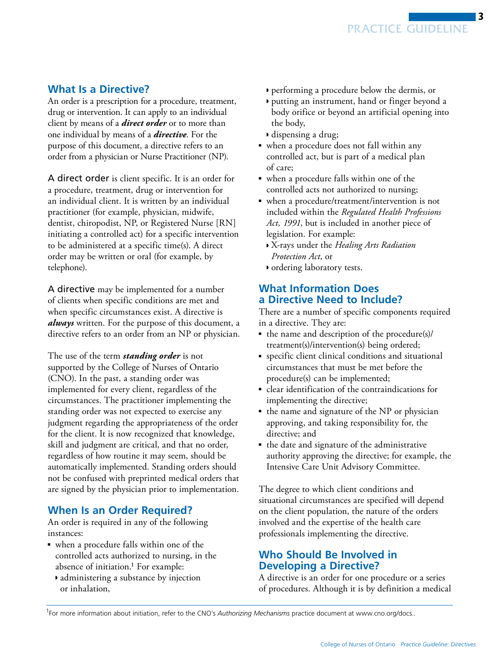3

#### <span id="page-2-0"></span>**What Is a Directive?**

An order is a prescription for a procedure, treatment, drug or intervention. It can apply to an individual client by means of a *direct order* or to more than one individual by means of a *directive*. For the purpose of this document, a directive refers to an order from a physician or Nurse Practitioner (NP).

A direct order is client specific. It is an order for a procedure, treatment, drug or intervention for an individual client. It is written by an individual practitioner (for example, physician, midwife, dentist, chiropodist, NP, or Registered Nurse [RN] initiating a controlled act) for a specific intervention to be administered at a specific time(s). A direct order may be written or oral (for example, by telephone).

A directive may be implemented for a number of clients when specific conditions are met and when specific circumstances exist. A directive is *always* written. For the purpose of this document, a directive refers to an order from an NP or physician.

The use of the term *standing order* is not supported by the College of Nurses of Ontario (CNO). In the past, a standing order was implemented for every client, regardless of the circumstances. The practitioner implementing the standing order was not expected to exercise any judgment regarding the appropriateness of the order for the client. It is now recognized that knowledge, skill and judgment are critical, and that no order, regardless of how routine it may seem, should be automatically implemented. Standing orders should not be confused with preprinted medical orders that are signed by the physician prior to implementation.

#### **When Is an Order Required?**

An order is required in any of the following instances:

- when a procedure falls within one of the controlled acts authorized to nursing, in the absence of initiation. $<sup>1</sup>$  For example:</sup>
	- ◗ administering a substance by injection or inhalation,
- ◗ performing a procedure below the dermis, or
- ◗ putting an instrument, hand or finger beyond a body orifice or beyond an artificial opening into the body,
- ◗ dispensing a drug;
- when a procedure does not fall within any controlled act, but is part of a medical plan of care;
- when a procedure falls within one of the controlled acts not authorized to nursing;
- when a procedure/treatment/intervention is not included within the *Regulated Health Professions Act, 1991*, but is included in another piece of legislation. For example:
	- ◗ X-rays under the *Healing Arts Radiation Protection Act*, or
	- ◗ ordering laboratory tests.

### **What Information Does a Directive Need to Include?**

There are a number of specific components required in a directive. They are:

- the name and description of the procedure(s)/ treatment(s)/intervention(s) being ordered;
- specific client clinical conditions and situational circumstances that must be met before the procedure(s) can be implemented;
- clear identification of the contraindications for implementing the directive;
- the name and signature of the NP or physician approving, and taking responsibility for, the directive; and
- the date and signature of the administrative authority approving the directive; for example, the Intensive Care Unit Advisory Committee.

The degree to which client conditions and situational circumstances are specified will depend on the client population, the nature of the orders involved and the expertise of the health care professionals implementing the directive.

# **Who Should Be Involved in Developing a Directive?**

A directive is an order for one procedure or a series of procedures. Although it is by definition a medical

<sup>&</sup>lt;sup>1</sup>For more information about initiation, refer to the CNO's Authorizing Mechanisms practice document at www.cno.org/docs..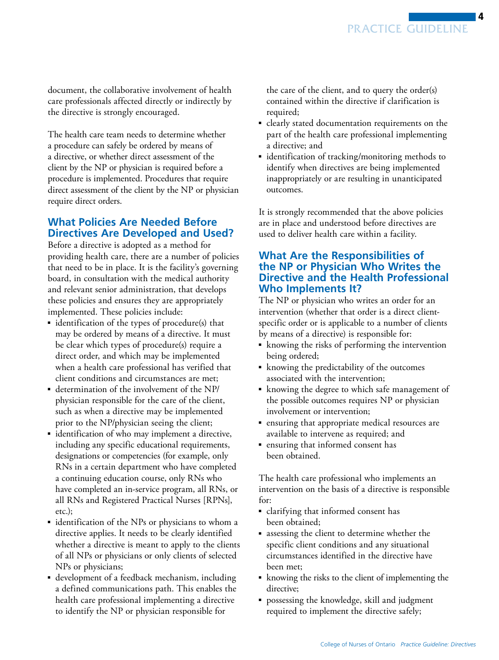4

<span id="page-3-0"></span>document, the collaborative involvement of health care professionals affected directly or indirectly by the directive is strongly encouraged.

The health care team needs to determine whether a procedure can safely be ordered by means of a directive, or whether direct assessment of the client by the NP or physician is required before a procedure is implemented. Procedures that require direct assessment of the client by the NP or physician require direct orders.

## **What Policies Are Needed Before Directives Are Developed and Used?**

Before a directive is adopted as a method for providing health care, there are a number of policies that need to be in place. It is the facility's governing board, in consultation with the medical authority and relevant senior administration, that develops these policies and ensures they are appropriately implemented. These policies include:

- identification of the types of procedure(s) that may be ordered by means of a directive. It must be clear which types of procedure(s) require a direct order, and which may be implemented when a health care professional has verified that client conditions and circumstances are met;
- determination of the involvement of the NP/ physician responsible for the care of the client, such as when a directive may be implemented prior to the NP/physician seeing the client;
- identification of who may implement a directive, including any specific educational requirements, designations or competencies (for example, only RNs in a certain department who have completed a continuing education course, only RNs who have completed an in-service program, all RNs, or all RNs and Registered Practical Nurses [RPNs], etc.);
- identification of the NPs or physicians to whom a directive applies. It needs to be clearly identified whether a directive is meant to apply to the clients of all NPs or physicians or only clients of selected NPs or physicians;
- development of a feedback mechanism, including a defined communications path. This enables the health care professional implementing a directive to identify the NP or physician responsible for

the care of the client, and to query the order(s) contained within the directive if clarification is required;

- clearly stated documentation requirements on the part of the health care professional implementing a directive; and
- identification of tracking/monitoring methods to identify when directives are being implemented inappropriately or are resulting in unanticipated outcomes.

It is strongly recommended that the above policies are in place and understood before directives are used to deliver health care within a facility.

#### **What Are the Responsibilities of the NP or Physician Who Writes the Directive and the Health Professional Who Implements It?**

The NP or physician who writes an order for an intervention (whether that order is a direct clientspecific order or is applicable to a number of clients by means of a directive) is responsible for:

- knowing the risks of performing the intervention being ordered;
- knowing the predictability of the outcomes associated with the intervention;
- ■ knowing the degree to which safe management of the possible outcomes requires NP or physician involvement or intervention;
- ■ ensuring that appropriate medical resources are available to intervene as required; and
- ensuring that informed consent has been obtained.

The health care professional who implements an intervention on the basis of a directive is responsible for:

- clarifying that informed consent has been obtained;
- assessing the client to determine whether the specific client conditions and any situational circumstances identified in the directive have been met;
- knowing the risks to the client of implementing the directive;
- possessing the knowledge, skill and judgment required to implement the directive safely;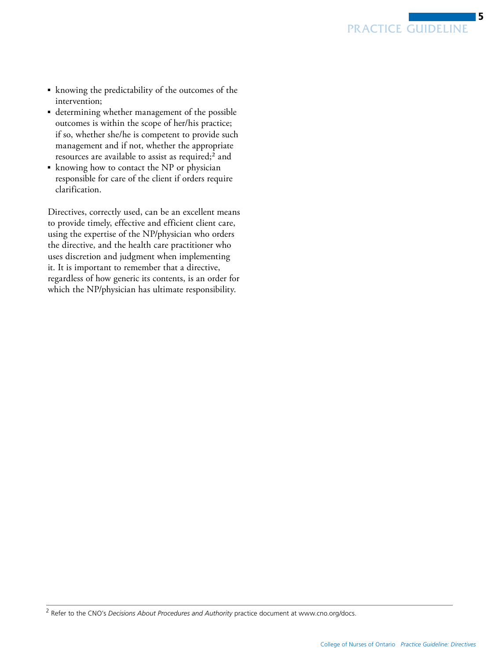

- <span id="page-4-0"></span>■ knowing the predictability of the outcomes of the intervention;
- determining whether management of the possible outcomes is within the scope of her/his practice; if so, whether she/he is competent to provide such management and if not, whether the appropriate resources are available to assist as required;<sup>2</sup> and
- knowing how to contact the NP or physician responsible for care of the client if orders require clarification.

Directives, correctly used, can be an excellent means to provide timely, effective and efficient client care, using the expertise of the NP/physician who orders the directive, and the health care practitioner who uses discretion and judgment when implementing it. It is important to remember that a directive, regardless of how generic its contents, is an order for which the NP/physician has ultimate responsibility.

<sup>2</sup> Refer to the CNO's *Decisions About Procedures and Authority* practice document at www.cno.org/docs.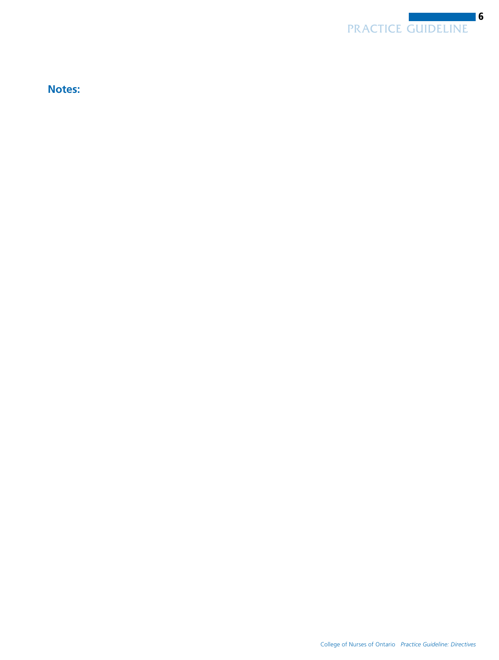

**Notes:**